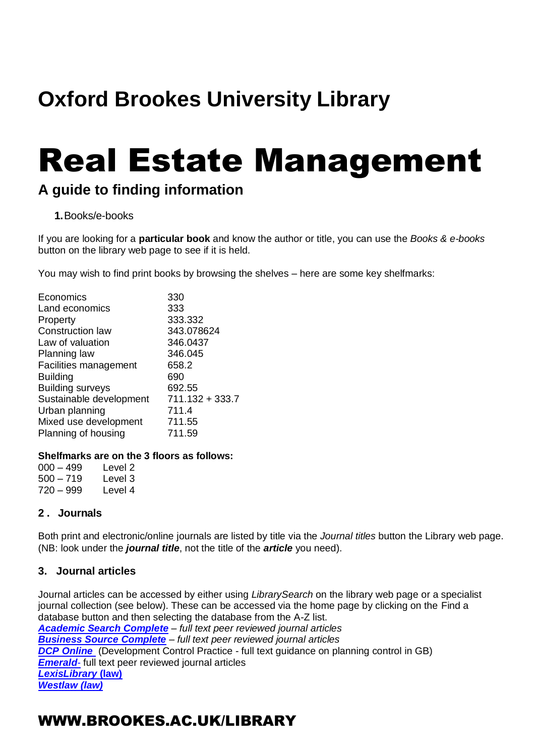## **Oxford Brookes University Library**

# Real Estate Management

### **A guide to finding information**

### **1.**Books/e-books

If you are looking for a **particular book** and know the author or title, you can use the *Books & e-books* button on the library web page to see if it is held.

You may wish to find print books by browsing the shelves – here are some key shelfmarks:

| Economics<br>Land economics  | 330<br>333      |
|------------------------------|-----------------|
| Property                     | 333.332         |
| <b>Construction law</b>      | 343.078624      |
| Law of valuation             | 346.0437        |
| Planning law                 | 346.045         |
| <b>Facilities management</b> | 658.2           |
| <b>Building</b>              | 690             |
| <b>Building surveys</b>      | 692.55          |
| Sustainable development      | 711.132 + 333.7 |
| Urban planning               | 711.4           |
| Mixed use development        | 711.55          |
| Planning of housing          | 711.59          |
|                              |                 |

### **Shelfmarks are on the 3 floors as follows:**

| 000 – 499 | Level 2 |
|-----------|---------|
| 500 – 719 | Level 3 |
| 720 – 999 | Level 4 |

### **2 . Journals**

Both print and electronic/online journals are listed by title via the *Journal titles* button the Library web page. (NB: look under the *journal title*, not the title of the *article* you need).

### **3. Journal articles**

Journal articles can be accessed by either using *LibrarySearch* on the library web page or a specialist journal collection (see below). These can be accessed via the home page by clicking on the Find a database button and then selecting the database from the A-Z list. *Academic [Search Complete](http://capitadiscovery.co.uk/brookes/items/1047251?query=academic+search+complete&resultsUri=items%3Fquery%3Dacademic%2Bsearch%2Bcomplete) – full text peer reviewed journal articles [Business Source Complete](http://opac.brookes.ac.uk/www-bin/ejnls?CN=S0014834OX) – full text peer reviewed journal articles* **[DCP Online](http://opac.brookes.ac.uk/www-bin/ejnls?CN=S0027301OX)** (Development Control Practice - full text guidance on planning control in GB) *[Emerald](http://opac.brookes.ac.uk/www-bin/ejnls?CN=S0000078WA)*- full text peer reviewed journal articles *[LexisLibrary](http://opac.brookes.ac.uk/www-bin/ejnls?CN=S0015922OX)* **(law)** *[Westlaw \(law\)](http://opac.brookes.ac.uk/www-bin/ejnls?CN=S0016846OX)*

### WWW.BROOKES.AC.UK/LIBRARY